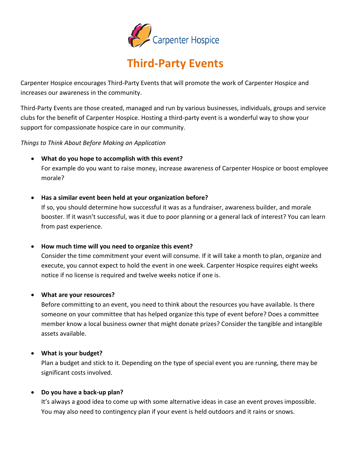

# **Third-Party Events**

Carpenter Hospice encourages Third-Party Events that will promote the work of Carpenter Hospice and increases our awareness in the community.

Third-Party Events are those created, managed and run by various businesses, individuals, groups and service clubs for the benefit of Carpenter Hospice. Hosting a third-party event is a wonderful way to show your support for compassionate hospice care in our community.

*Things to Think About Before Making an Application*

• **What do you hope to accomplish with this event?**

For example do you want to raise money, increase awareness of Carpenter Hospice or boost employee morale?

• **Has a similar event been held at your organization before?**

If so, you should determine how successful it was as a fundraiser, awareness builder, and morale booster. If it wasn't successful, was it due to poor planning or a general lack of interest? You can learn from past experience.

• **How much time will you need to organize this event?**

Consider the time commitment your event will consume. If it will take a month to plan, organize and execute, you cannot expect to hold the event in one week. Carpenter Hospice requires eight weeks notice if no license is required and twelve weeks notice if one is.

• **What are your resources?**

Before committing to an event, you need to think about the resources you have available. Is there someone on your committee that has helped organize this type of event before? Does a committee member know a local business owner that might donate prizes? Consider the tangible and intangible assets available.

• **What is your budget?**

Plan a budget and stick to it. Depending on the type of special event you are running, there may be significant costs involved.

### • **Do you have a back-up plan?**

It's always a good idea to come up with some alternative ideas in case an event proves impossible. You may also need to contingency plan if your event is held outdoors and it rains or snows.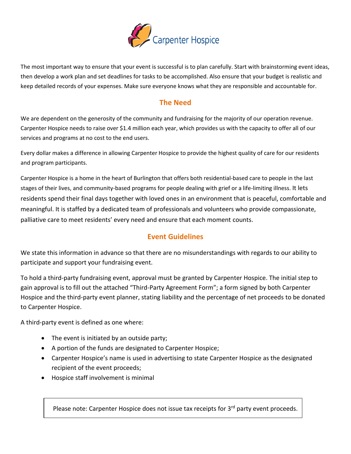

The most important way to ensure that your event is successful is to plan carefully. Start with brainstorming event ideas, then develop a work plan and set deadlines for tasks to be accomplished. Also ensure that your budget is realistic and keep detailed records of your expenses. Make sure everyone knows what they are responsible and accountable for.

### **The Need**

We are dependent on the generosity of the community and fundraising for the majority of our operation revenue. Carpenter Hospice needs to raise over \$1.4 million each year, which provides us with the capacity to offer all of our services and programs at no cost to the end users.

Every dollar makes a difference in allowing Carpenter Hospice to provide the highest quality of care for our residents and program participants.

Carpenter Hospice is a home in the heart of Burlington that offers both residential-based care to people in the last stages of their lives, and community-based programs for people dealing with grief or a life-limiting illness. It lets residents spend their final days together with loved ones in an environment that is peaceful, comfortable and meaningful. It is staffed by a dedicated team of professionals and volunteers who provide compassionate, palliative care to meet residents' every need and ensure that each moment counts.

## **Event Guidelines**

We state this information in advance so that there are no misunderstandings with regards to our ability to participate and support your fundraising event.

To hold a third-party fundraising event, approval must be granted by Carpenter Hospice. The initial step to gain approval is to fill out the attached "Third-Party Agreement Form"; a form signed by both Carpenter Hospice and the third-party event planner, stating liability and the percentage of net proceeds to be donated to Carpenter Hospice.

A third-party event is defined as one where:

- The event is initiated by an outside party;
- A portion of the funds are designated to Carpenter Hospice;
- Carpenter Hospice's name is used in advertising to state Carpenter Hospice as the designated recipient of the event proceeds;
- Hospice staff involvement is minimal

Please note: Carpenter Hospice does not issue tax receipts for 3<sup>rd</sup> party event proceeds.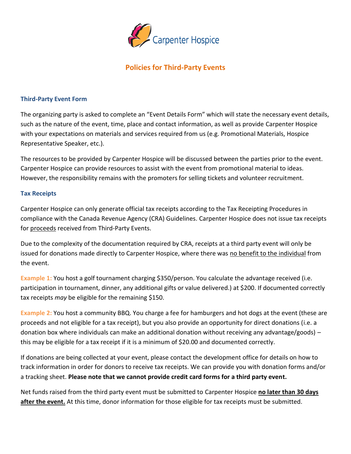

# **Policies for Third-Party Events**

### **Third-Party Event Form**

The organizing party is asked to complete an "Event Details Form" which will state the necessary event details, such as the nature of the event, time, place and contact information, as well as provide Carpenter Hospice with your expectations on materials and services required from us (e.g. Promotional Materials, Hospice Representative Speaker, etc.).

The resources to be provided by Carpenter Hospice will be discussed between the parties prior to the event. Carpenter Hospice can provide resources to assist with the event from promotional material to ideas. However, the responsibility remains with the promoters for selling tickets and volunteer recruitment.

### **Tax Receipts**

Carpenter Hospice can only generate official tax receipts according to the Tax Receipting Procedures in compliance with the Canada Revenue Agency (CRA) Guidelines. Carpenter Hospice does not issue tax receipts for proceeds received from Third-Party Events.

Due to the complexity of the documentation required by CRA, receipts at a third party event will only be issued for donations made directly to Carpenter Hospice, where there was no benefit to the individual from the event.

**Example 1:** You host a golf tournament charging \$350/person. You calculate the advantage received (i.e. participation in tournament, dinner, any additional gifts or value delivered.) at \$200. If documented correctly tax receipts *may* be eligible for the remaining \$150.

**Example 2:** You host a community BBQ. You charge a fee for hamburgers and hot dogs at the event (these are proceeds and not eligible for a tax receipt), but you also provide an opportunity for direct donations (i.e. a donation box where individuals can make an additional donation without receiving any advantage/goods) – this may be eligible for a tax receipt if it is a minimum of \$20.00 and documented correctly.

If donations are being collected at your event, please contact the development office for details on how to track information in order for donors to receive tax receipts. We can provide you with donation forms and/or a tracking sheet. **Please note that we cannot provide credit card forms for a third party event.** 

Net funds raised from the third party event must be submitted to Carpenter Hospice **no later than 30 days after the event.** At this time, donor information for those eligible for tax receipts must be submitted.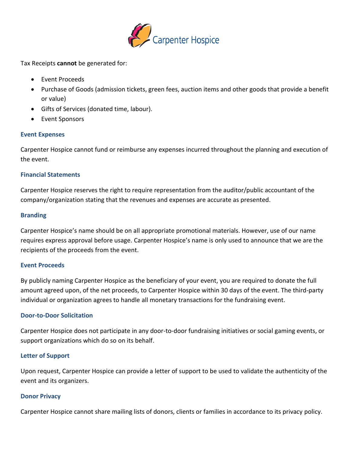

Tax Receipts **cannot** be generated for:

- Event Proceeds
- Purchase of Goods (admission tickets, green fees, auction items and other goods that provide a benefit or value)
- Gifts of Services (donated time, labour).
- Event Sponsors

### **Event Expenses**

Carpenter Hospice cannot fund or reimburse any expenses incurred throughout the planning and execution of the event.

### **Financial Statements**

Carpenter Hospice reserves the right to require representation from the auditor/public accountant of the company/organization stating that the revenues and expenses are accurate as presented.

### **Branding**

Carpenter Hospice's name should be on all appropriate promotional materials. However, use of our name requires express approval before usage. Carpenter Hospice's name is only used to announce that we are the recipients of the proceeds from the event.

### **Event Proceeds**

By publicly naming Carpenter Hospice as the beneficiary of your event, you are required to donate the full amount agreed upon, of the net proceeds, to Carpenter Hospice within 30 days of the event. The third-party individual or organization agrees to handle all monetary transactions for the fundraising event.

### **Door-to-Door Solicitation**

Carpenter Hospice does not participate in any door-to-door fundraising initiatives or social gaming events, or support organizations which do so on its behalf.

### **Letter of Support**

Upon request, Carpenter Hospice can provide a letter of support to be used to validate the authenticity of the event and its organizers.

### **Donor Privacy**

Carpenter Hospice cannot share mailing lists of donors, clients or families in accordance to its privacy policy.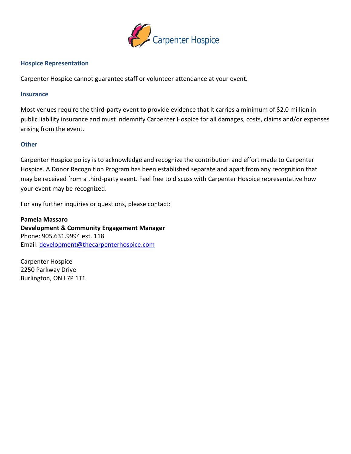

### **Hospice Representation**

Carpenter Hospice cannot guarantee staff or volunteer attendance at your event.

### **Insurance**

Most venues require the third-party event to provide evidence that it carries a minimum of \$2.0 million in public liability insurance and must indemnify Carpenter Hospice for all damages, costs, claims and/or expenses arising from the event.

### **Other**

Carpenter Hospice policy is to acknowledge and recognize the contribution and effort made to Carpenter Hospice. A Donor Recognition Program has been established separate and apart from any recognition that may be received from a third-party event. Feel free to discuss with Carpenter Hospice representative how your event may be recognized.

For any further inquiries or questions, please contact:

**Pamela Massaro Development & Community Engagement Manager** Phone: 905.631.9994 ext. 118 Email: [development@thecarpenterhospice.com](mailto:development@thecarpenterhospice.com)

Carpenter Hospice 2250 Parkway Drive Burlington, ON L7P 1T1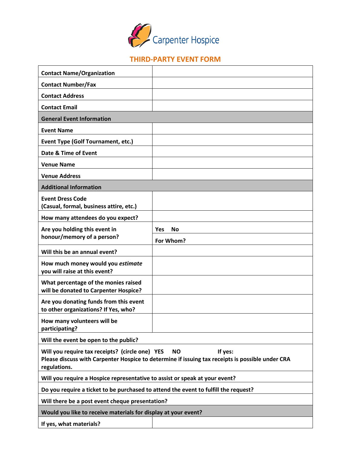

# **THIRD-PARTY EVENT FORM**

| <b>Contact Name/Organization</b>                                                                                                                                                            |                   |  |  |
|---------------------------------------------------------------------------------------------------------------------------------------------------------------------------------------------|-------------------|--|--|
| <b>Contact Number/Fax</b>                                                                                                                                                                   |                   |  |  |
| <b>Contact Address</b>                                                                                                                                                                      |                   |  |  |
| <b>Contact Email</b>                                                                                                                                                                        |                   |  |  |
| <b>General Event Information</b>                                                                                                                                                            |                   |  |  |
| <b>Event Name</b>                                                                                                                                                                           |                   |  |  |
| <b>Event Type (Golf Tournament, etc.)</b>                                                                                                                                                   |                   |  |  |
| Date & Time of Event                                                                                                                                                                        |                   |  |  |
| <b>Venue Name</b>                                                                                                                                                                           |                   |  |  |
| <b>Venue Address</b>                                                                                                                                                                        |                   |  |  |
| <b>Additional Information</b>                                                                                                                                                               |                   |  |  |
| <b>Event Dress Code</b><br>(Casual, formal, business attire, etc.)                                                                                                                          |                   |  |  |
| How many attendees do you expect?                                                                                                                                                           |                   |  |  |
| Are you holding this event in                                                                                                                                                               | <b>No</b><br>Yes. |  |  |
| honour/memory of a person?                                                                                                                                                                  | For Whom?         |  |  |
| Will this be an annual event?                                                                                                                                                               |                   |  |  |
| How much money would you estimate<br>you will raise at this event?                                                                                                                          |                   |  |  |
| What percentage of the monies raised<br>will be donated to Carpenter Hospice?                                                                                                               |                   |  |  |
| Are you donating funds from this event<br>to other organizations? If Yes, who?                                                                                                              |                   |  |  |
| How many volunteers will be<br>participating?                                                                                                                                               |                   |  |  |
| Will the event be open to the public?                                                                                                                                                       |                   |  |  |
| If yes:<br>Will you require tax receipts? (circle one) YES<br><b>NO</b><br>Please discuss with Carpenter Hospice to determine if issuing tax receipts is possible under CRA<br>regulations. |                   |  |  |
| Will you require a Hospice representative to assist or speak at your event?                                                                                                                 |                   |  |  |
| Do you require a ticket to be purchased to attend the event to fulfill the request?                                                                                                         |                   |  |  |
| Will there be a post event cheque presentation?                                                                                                                                             |                   |  |  |
| Would you like to receive materials for display at your event?                                                                                                                              |                   |  |  |
| If yes, what materials?                                                                                                                                                                     |                   |  |  |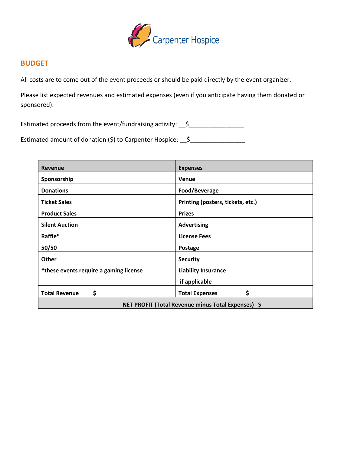

### **BUDGET**

All costs are to come out of the event proceeds or should be paid directly by the event organizer.

Please list expected revenues and estimated expenses (even if you anticipate having them donated or sponsored).

Estimated proceeds from the event/fundraising activity: \_\_\$\_\_\_\_\_\_\_\_\_\_\_\_\_\_\_\_\_\_\_\_\_

Estimated amount of donation (\$) to Carpenter Hospice: 5

| <b>Revenue</b>                                     | <b>Expenses</b>                   |  |  |
|----------------------------------------------------|-----------------------------------|--|--|
| Sponsorship                                        | Venue                             |  |  |
| <b>Donations</b>                                   | Food/Beverage                     |  |  |
| <b>Ticket Sales</b>                                | Printing (posters, tickets, etc.) |  |  |
| <b>Product Sales</b>                               | <b>Prizes</b>                     |  |  |
| <b>Silent Auction</b>                              | <b>Advertising</b>                |  |  |
| Raffle*                                            | <b>License Fees</b>               |  |  |
| 50/50                                              | Postage                           |  |  |
| <b>Other</b>                                       | <b>Security</b>                   |  |  |
| *these events require a gaming license             | <b>Liability Insurance</b>        |  |  |
|                                                    | if applicable                     |  |  |
| \$<br><b>Total Revenue</b>                         | \$<br><b>Total Expenses</b>       |  |  |
| NET PROFIT (Total Revenue minus Total Expenses) \$ |                                   |  |  |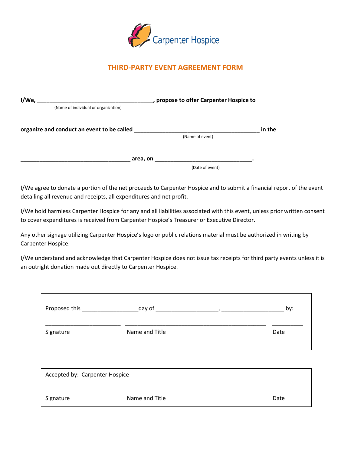

# **THIRD-PARTY EVENT AGREEMENT FORM**

| I/We,<br>, propose to offer Carpenter Hospice to |                 |        |
|--------------------------------------------------|-----------------|--------|
| (Name of individual or organization)             |                 |        |
| organize and conduct an event to be called       |                 | in the |
|                                                  | (Name of event) |        |
|                                                  | area, on        |        |
|                                                  | (Date of event) |        |
|                                                  |                 |        |

I/We agree to donate a portion of the net proceeds to Carpenter Hospice and to submit a financial report of the event detailing all revenue and receipts, all expenditures and net profit.

I/We hold harmless Carpenter Hospice for any and all liabilities associated with this event, unless prior written consent to cover expenditures is received from Carpenter Hospice's Treasurer or Executive Director.

Any other signage utilizing Carpenter Hospice's logo or public relations material must be authorized in writing by Carpenter Hospice.

I/We understand and acknowledge that Carpenter Hospice does not issue tax receipts for third party events unless it is an outright donation made out directly to Carpenter Hospice.

| Proposed this | day of         | by:  |
|---------------|----------------|------|
| Signature     | Name and Title | Date |

| Accepted by: Carpenter Hospice |                |      |  |  |
|--------------------------------|----------------|------|--|--|
| Signature                      | Name and Title | Date |  |  |